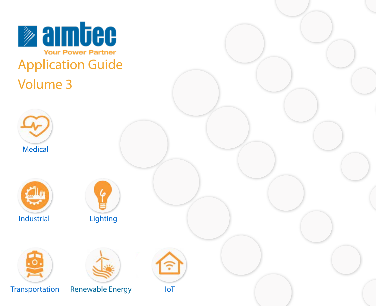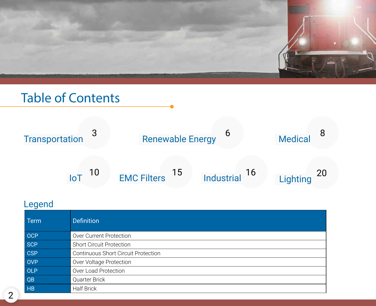

# Table of Contents



### Legend

| Term       | <b>Definition</b>                          |
|------------|--------------------------------------------|
| OCP        | Over Current Protection                    |
| <b>SCP</b> | <b>Short Circuit Protection</b>            |
| <b>CSP</b> | <b>Continuous Short Circuit Protection</b> |
| <b>OVP</b> | Over Voltage Protection                    |
| OLP        | Over Load Protection                       |
| QB         | Quarter Brick                              |
| <b>HB</b>  | <b>Half Brick</b>                          |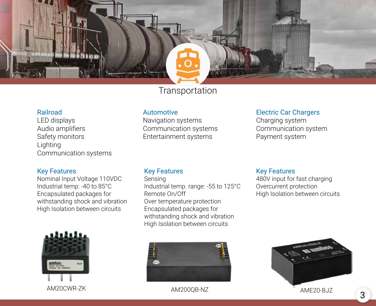### **Transportation**

#### Railroad

LED displays Audio amplifiers Safety monitors Lighting Communication systems

#### Key Features

Nominal Input Voltage 110VDC Industrial temp: -40 to 85°C Encapsulated packages for withstanding shock and vibration High Isolation between circuits

# aimbec 1827



AM20CWR-ZK AM200QB-NZ AM200QB-NZ AME20-BJZ

#### Electric Car Chargers

Key Features

Charging system Communication system Payment system

480V input for fast charging Overcurrent protection

High Isolation between circuits

#### Key Features

Automotive

Navigation systems Communication systems Entertainment systems

Sensing Industrial temp. range: -55 to 125°C Remote On/Off Over temperature protection Encapsulated packages for withstanding shock and vibration High Isolation between circuits

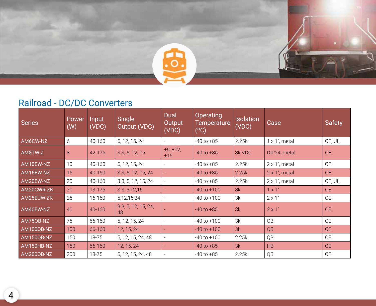

### Railroad - DC/DC Converters

| Series     | Power<br>(W) | Input<br>(VDC) | Single<br>Output (VDC)    | Dual<br>Output<br>(VDC) | Operating<br><b>Temperature</b><br>(°C) | <b>Isolation</b><br>(VDC) | Case                  | <b>Safety</b> |
|------------|--------------|----------------|---------------------------|-------------------------|-----------------------------------------|---------------------------|-----------------------|---------------|
| AM6CW-NZ   | 6            | 40-160         | 5, 12, 15, 24             |                         | $-40$ to $+85$                          | 2.25k                     | $1 \times 1$ ", metal | CE, UL        |
| AM8TW-Z    | 8            | 42-176         | 3.3, 5, 12, 15            | ±5, ±12,<br>±15         | $-40$ to $+85$                          | 3k VDC                    | DIP24, metal          | CE.           |
| AM10EW-NZ  | 10           | 40-160         | 5, 12, 15, 24             |                         | $-40$ to $+85$                          | 2.25k                     | $2 \times 1$ ", metal | CE            |
| AM15EW-NZ  | 15           | 40-160         | 3.3, 5, 12, 15, 24        |                         | $-40$ to $+85$                          | 2.25k                     | $2 \times 1$ ", metal | CE.           |
| AM20EW-NZ  | 20           | 40-160         | 3.3, 5, 12, 15, 24        |                         | $-40$ to $+85$                          | 2.25k                     | $2 \times 1$ ", metal | CE, UL        |
| AM20CWR-ZK | 20           | 13-176         | 3.3, 5, 12, 15            |                         | $-40$ to $+100$                         | 3k                        | $1 \times 1$ "        | CE            |
| AM25EUW-ZK | 25           | 16-160         | 5, 12, 15, 24             |                         | $-40$ to $+100$                         | 3k                        | $2 \times 1"$         | CE            |
| AM40EW-NZ  | 40           | 40-160         | 3.3, 5, 12, 15, 24,<br>48 |                         | $-40$ to $+85$                          | 3k                        | $2 \times 1"$         | CE            |
| AM75QB-NZ  | 75           | 66-160         | 5, 12, 15, 24             |                         | $-40$ to $+100$                         | 3k                        | QB                    | CE            |
| AM100QB-NZ | 100          | 66-160         | 12, 15, 24                |                         | $-40$ to $+100$                         | 3k                        | QB                    | CE.           |
| AM150QB-NZ | 150          | 18-75          | 5, 12, 15, 24, 48         |                         | $-40$ to $+100$                         | 2.25k                     | QB                    | <b>CE</b>     |
| AM150HB-NZ | 150          | 66-160         | 12, 15, 24                |                         | $-40$ to $+85$                          | 3k                        | <b>HB</b>             | CE            |
| AM200QB-NZ | 200          | 18-75          | 5, 12, 15, 24, 48         |                         | $-40$ to $+85$                          | 2.25k                     | QB                    | <b>CE</b>     |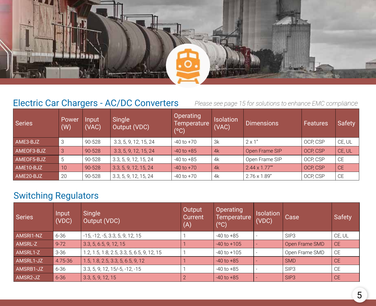

### Electric Car Chargers - AC/DC Converters

*Please see page 15 for solutions to enhance EMC compliance*

| Series     | Power<br>(W) | Input<br>(VAC) | Single<br>Output (VDC) | <b>Operating</b><br>Temperature<br>(°C) | <b>Isolation</b><br>(VAC) | Dimensions            | <b>Features</b> | <b>Safety</b> |
|------------|--------------|----------------|------------------------|-----------------------------------------|---------------------------|-----------------------|-----------------|---------------|
| AME3-BJZ   | -3           | 90-528         | 3.3, 5, 9, 12, 15, 24  | $-40$ to $+70$                          | 3k                        | $2 \times 1"$         | OCP, CSP        | CE, UL        |
| AMEOF3-BJZ | 3            | 90-528         | 3.3, 5, 9, 12, 15, 24  | $-40$ to $+85$                          | 4k                        | Open Frame SIP        | OCP, CSP        | CE, UL        |
| AMEOF5-BJZ | -5           | 90-528         | 3.3, 5, 9, 12, 15, 24  | $-40$ to $+85$                          | 4k                        | Open Frame SIP        | OCP, CSP        | <b>CE</b>     |
| AME10-BJZ  | 10           | 90-528         | 3.3, 5, 9, 12, 15, 24  | $-40$ to $+70$                          | 4k                        | $2.44 \times 1.77$ "" | OCP, CSP        | <b>CE</b>     |
| AME20-BJZ  | -20          | 90-528         | 3.3, 5, 9, 12, 15, 24  | $-40$ to $+70$                          | 4k                        | $2.76 \times 1.89''$  | OCP, CSP        | <b>CE</b>     |

### Switching Regulators

| <b>Series</b> | Input<br>(VDC) | Single<br>Output (VDC)                     | Output<br>Current<br>(A) | Operating<br>Temperature<br>$(^{\circ}C)$ | <b>Isolation</b><br>(VDC) | Case             | Safety    |
|---------------|----------------|--------------------------------------------|--------------------------|-------------------------------------------|---------------------------|------------------|-----------|
| AMSRI1-NZ     | 6-36           | $-15, -12, -5, 3.3, 5, 9, 12, 15$          |                          | -40 to +85                                |                           | SIP <sub>3</sub> | CE, UL    |
| AMSRL-Z       | $9 - 72$       | 3.3, 5, 6.5, 9, 12, 15                     |                          | $-40$ to $+105$                           |                           | Open Frame SMD   | <b>CE</b> |
| AMSRL1-Z      | $3 - 36$       | 1.2, 1.5, 1.8, 2.5, 3.3, 5, 6.5, 9, 12, 15 |                          | $-40$ to $+105$                           |                           | Open Frame SMD   | <b>CE</b> |
| AMSRL1-JZ     | 4.75-36        | 1.5, 1.8, 2.5, 3.3, 5, 6.5, 9, 12          |                          | $-40$ to $+85$                            |                           | <b>SMD</b>       | CE.       |
| AMSRB1-JZ     | 6-36           | 3.3, 5, 9, 12, 15/-5, -12, -15             |                          | $-40$ to $+85$                            |                           | SIP <sub>3</sub> | <b>CE</b> |
| AMSR2-JZ      | $6 - 36$       | 3.3, 5, 9, 12, 15                          |                          | $-40$ to $+85$                            |                           | SIP <sub>3</sub> | <b>CE</b> |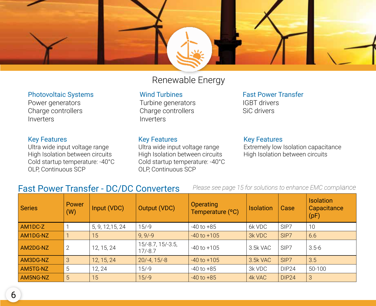

#### Renewable Energy

#### Photovoltaic Systems

Power generators Charge controllers Inverters

#### Key Features

Ultra wide input voltage range High Isolation between circuits Cold startup temperature: -40°C OLP, Continuous SCP

#### Wind Turbines

Turbine generators Charge controllers Inverters

#### Key Features

Ultra wide input voltage range High Isolation between circuits Cold startup temperature: -40°C OLP, Continuous SCP

#### Fast Power Transfer IGBT drivers SiC drivers

#### Key Features

Extremely low Isolation capacitance High Isolation between circuits

#### Fast Power Transfer - DC/DC Converters

| <b>Series</b> | Power<br>(W)   | Input (VDC)      | <b>Output (VDC)</b>              | <b>Operating</b><br>Temperature (°C) | <b>Isolation</b> | Case              | <b>Isolation</b><br>Capacitance<br>(pF) |
|---------------|----------------|------------------|----------------------------------|--------------------------------------|------------------|-------------------|-----------------------------------------|
| AM1DC-Z       |                | 5, 9, 12, 15, 24 | $15/-9$                          | $-40$ to $+85$                       | 6k VDC           | SIP7              | 10                                      |
| AM1DG-NZ      |                | 15               | $9, 9/-9$                        | $-40$ to $+105$                      | 3k VDC           | SIP7              | 6.6                                     |
| AM2DG-NZ      | $\overline{2}$ | 12, 15, 24       | $15/-8.7, 15/-3.5,$<br>$17/-8.7$ | $-40$ to $+105$                      | 3.5k VAC         | SIP7              | $3.5 - 6$                               |
| AM3DG-NZ      | 3              | 12, 15, 24       | $20/-4, 15/-8$                   | $-40$ to $+105$                      | 3.5k VAC         | SIP7              | 3.5                                     |
| AM5TG-NZ      | 5              | 12, 24           | $15/-9$                          | $-40$ to $+85$                       | 3k VDC           | DIP24             | 50-100                                  |
| AM5NG-NZ      | 5              | 15               | $15/-9$                          | $-40$ to $+85$                       | 4k VAC           | DIP <sub>24</sub> | 3                                       |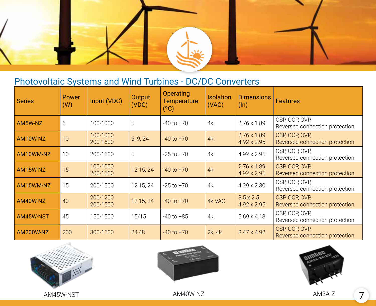

### Photovoltaic Systems and Wind Turbines - DC/DC Converters

| <b>Series</b>    | Power<br>(W) | Input (VDC)          | Output<br>(VDC) | <b>Operating</b><br><b>Temperature</b><br>(°C) | <b>Isolation</b><br>(VAC) | <b>Dimensions</b><br>$(\ln)$             | <b>Features</b>                                  |
|------------------|--------------|----------------------|-----------------|------------------------------------------------|---------------------------|------------------------------------------|--------------------------------------------------|
| AM5W-NZ          | 5            | 100-1000             | 5               | $-40$ to $+70$                                 | 4k                        | $2.76 \times 1.89$                       | CSP, OCP, OVP,<br>Reversed connection protection |
| AM10W-NZ         | 10           | 100-1000<br>200-1500 | 5, 9, 24        | $-40$ to $+70$                                 | 4k                        | $2.76 \times 1.89$<br>4.92 x 2.95        | CSP, OCP, OVP,<br>Reversed connection protection |
| AM10WM-NZ        | 10           | 200-1500             | 5               | $-25$ to $+70$                                 | 4k                        | 4.92 x 2.95                              | CSP, OCP, OVP,<br>Reversed connection protection |
| AM15W-NZ         | 15           | 100-1000<br>200-1500 | 12,15,24        | $-40$ to $+70$                                 | 4k                        | $2.76 \times 1.89$<br>$4.92 \times 2.95$ | CSP, OCP, OVP,<br>Reversed connection protection |
| AM15WM-NZ        | 15           | 200-1500             | 12,15, 24       | $-25$ to $+70$                                 | 4k                        | 4.29 x 2.30                              | CSP, OCP, OVP,<br>Reversed connection protection |
| AM40W-NZ         | 40           | 200-1200<br>200-1500 | 12,15,24        | $-40$ to $+70$                                 | 4k VAC                    | $3.5 \times 2.5$<br>4.92 x 2.95          | CSP, OCP, OVP,<br>Reversed connection protection |
| AM45W-NST        | 45           | 150-1500             | 15/15           | $-40$ to $+85$                                 | 4k                        | $5.69 \times 4.13$                       | CSP, OCP, OVP,<br>Reversed connection protection |
| <b>AM200W-NZ</b> | 200          | 300-1500             | 24,48           | $-40$ to $+70$                                 | 2k, 4k                    | 8.47 x 4.92                              | CSP, OCP, OVP,<br>Reversed connection protection |







AM45W-NST AM40W-NZ AM3A-Z 7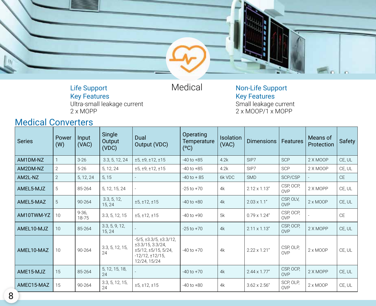

Life Support Key Features

Ultra-small leakage current 2 x MOPP

Medical Non-Life Support Key Features Small leakage current 2 x MOOP/1 x MOPP

### Medical Converters

| <b>Series</b> | Power<br>(W)    | Input<br>(VAC)     | Single<br>Output<br>(VDC) | Dual<br>Output (VDC)                                                                                                                    | Operating<br>Temperature<br>(°C) | Isolation<br>(VAC) | <b>Dimensions</b>    | Features                | Means of<br>Protection | Safety    |
|---------------|-----------------|--------------------|---------------------------|-----------------------------------------------------------------------------------------------------------------------------------------|----------------------------------|--------------------|----------------------|-------------------------|------------------------|-----------|
| AM1DM-NZ      | 1               | $3 - 26$           | 3.3, 5, 12, 24            | ±5, ±9, ±12, ±15                                                                                                                        | $-40$ to $+85$                   | 4.2k               | SIP7                 | <b>SCP</b>              | 2 X MOOP               | CE, UL    |
| AM2DM-NZ      | 2               | $5 - 26$           | 5, 12, 24                 | ±5, ±9, ±12, ±15                                                                                                                        | -40 to +85                       | 4.2k               | SIP7                 | SCP                     | 2 X MOOP               | CE, UL    |
| AM2L-NZ       | 2               | 5, 12, 24          | 5, 15                     |                                                                                                                                         | $-40$ to $+85$                   | 6k VDC             | <b>SMD</b>           | SCP/CSP                 |                        | <b>CE</b> |
| AMEL5-MJZ     | 5               | 85-264             | 5, 12, 15, 24             |                                                                                                                                         | $-25$ to $+70$                   | 4k                 | $2.12 \times 1.13''$ | CSP, OCP,<br><b>OVP</b> | 2 X MOPP               | CE, UL    |
| AMEL5-MAZ     | 5               | 90-264             | 3.3, 5, 12,<br>15, 24     | ±5, ±12, ±15                                                                                                                            | $-40$ to $+80$                   | 4k                 | $2.03 \times 1.1"$   | CSP, OLV,<br>OVP        | $2 \times MOOP$        | CE, UL    |
| AM10TWM-YZ    | 10              | $9 - 36.$<br>18-75 | 3.3, 5, 12, 15            | ±5, ±12, ±15                                                                                                                            | $-40$ to $+90$                   | 5k                 | $0.79 \times 1.24$ " | CSP, OCP.<br><b>OVP</b> |                        | <b>CE</b> |
| AMEL10-MJZ    | 10 <sup>1</sup> | 85-264             | 3.3, 5, 9, 12,<br>15, 24  |                                                                                                                                         | $-25$ to $+70$                   | 4k                 | $2.11 \times 1.13''$ | CSP, OCP,<br>OVP        | 2 X MOPP               | CE, UL    |
| AMEL10-MAZ    | 10              | 90-264             | 3.3, 5, 12, 15,<br>24     | $-5/5$ , $\pm 3.3/5$ , $\pm 3.3/12$ ,<br>$\pm 3.3/15$ , 3.3/24,<br>$\pm$ 5/12, $\pm$ 5/15, 5/24,<br>$-12/12, \pm 12/15$<br>12/24, 15/24 | $-40$ to $+70$                   | 4k                 | $2.22 \times 1.21"$  | CSP, OLP,<br>OVP        | $2 \times MOOP$        | CE, UL    |
| AME15-MJZ     | 15              | 85-264             | 5, 12, 15, 18,<br>24      |                                                                                                                                         | $-40$ to $+70$                   | 4k                 | $2.44 \times 1.77"$  | CSP, OCP,<br>OVP        | 2 X MOPP               | CE, UL    |
| AMEC15-MAZ    | 15              | $90 - 264$         | 3.3, 5, 12, 15,<br>24     | ±5, ±12, ±15                                                                                                                            | $-40$ to $+80$                   | 4k                 | $3.62 \times 2.56"$  | SCP, OLP,<br><b>OVP</b> | $2 \times MOOP$        | CE, UL    |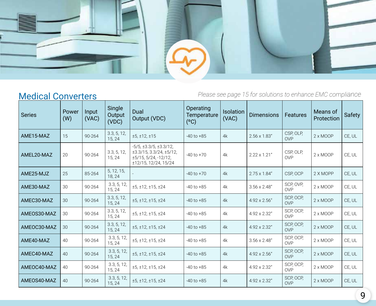

### **Medical Converters**

| <b>Series</b> | Power<br>(W) | Input<br>(VAC) | Single<br>Output<br>(VDC) | Dual<br>Output (VDC)                                                                                                              | Operating<br>Temperature<br>(°C) | Isolation<br>(VAC) | <b>Dimensions</b>   | <b>Features</b>         | Means of<br>Protection | <b>Safety</b> |
|---------------|--------------|----------------|---------------------------|-----------------------------------------------------------------------------------------------------------------------------------|----------------------------------|--------------------|---------------------|-------------------------|------------------------|---------------|
| AME15-MAZ     | 15           | 90-264         | 3.3, 5, 12,<br>15, 24     | ±5, ±12, ±15                                                                                                                      | $-40$ to $+85$                   | 4k                 | $2.56 \times 1.83"$ | CSP, OLP,<br><b>OVP</b> | $2 \times MOOP$        | CE, UL        |
| AMEL20-MAZ    | 20           | 90-264         | 3.3, 5, 12,<br>15, 24     | $-5/5$ , $\pm 3.3/5$ , $\pm 3.3/12$ ,<br>$\pm 3.3/15$ , 3.3/24, $\pm 5/12$ ,<br>$\pm$ 5/15, 5/24, -12/12,<br>±12/15, 12/24, 15/24 | $-40$ to $+70$                   | 4k                 | $2.22 \times 1.21"$ | CSP, OLP,<br><b>OVP</b> | $2 \times MOOP$        | CE, UL        |
| AME25-MJZ     | 25           | 85-264         | 5, 12, 15,<br>18, 24      |                                                                                                                                   | $-40$ to $+70$                   | 4k                 | $2.75 \times 1.84"$ | CSP, OCP                | 2 X MOPP               | CE, UL        |
| AME30-MAZ     | 30           | 90-264         | 3.3, 5, 12,<br>15, 24     | ±5, ±12, ±15, ±24                                                                                                                 | $-40$ to $+85$                   | 4k                 | $3.56 \times 2.48"$ | SCP, OVP.<br><b>OVP</b> | $2 \times MOOP$        | CE, UL        |
| AMEC30-MAZ    | 30           | 90-264         | 3.3, 5, 12,<br>15, 24     | ±5, ±12, ±15, ±24                                                                                                                 | $-40$ to $+85$                   | 4k                 | $4.92 \times 2.56"$ | SCP, OCP.<br><b>OVP</b> | $2 \times MOOP$        | CE, UL        |
| AMEOS30-MAZ   | 30           | 90-264         | 3.3, 5, 12,<br>15, 24     | ±5, ±12, ±15, ±24                                                                                                                 | $-40$ to $+85$                   | 4k                 | 4.92 x 2.32"        | SCP, OCP.<br><b>OVP</b> | $2 \times MOOP$        | CE, UL        |
| AMEOC30-MAZ   | 30           | 90-264         | 3.3, 5, 12,<br>15, 24     | ±5, ±12, ±15, ±24                                                                                                                 | $-40$ to $+85$                   | 4k                 | 4.92 x 2.32"        | SCP, OCP,<br><b>OVP</b> | $2 \times MOOP$        | CE, UL        |
| AME40-MAZ     | 40           | 90-264         | 3.3, 5, 12,<br>15, 24     | ±5, ±12, ±15, ±24                                                                                                                 | $-40$ to $+85$                   | 4k                 | $3.56 \times 2.48"$ | SCP, OCP.<br><b>OVP</b> | $2 \times MOOP$        | CE, UL        |
| AMEC40-MAZ    | 40           | 90-264         | 3.3, 5, 12,<br>15, 24     | ±5, ±12, ±15, ±24                                                                                                                 | $-40$ to $+85$                   | 4k                 | $4.92 \times 2.56"$ | SCP, OCP.<br><b>OVP</b> | $2 \times MOOP$        | CE, UL        |
| AMEOC40-MAZ   | 40           | 90-264         | 3.3, 5, 12,<br>15, 24     | ±5, ±12, ±15, ±24                                                                                                                 | $-40$ to $+85$                   | 4k                 | 4.92 x 2.32"        | SCP, OCP,<br><b>OVP</b> | $2 \times MOOP$        | CE, UL        |
| AMEOS40-MAZ   | 40           | 90-264         | 3.3, 5, 12,<br>15, 24     | ±5, ±12, ±15, ±24                                                                                                                 | $-40$ to $+85$                   | 4k                 | 4.92 x 2.32"        | SCP, OCP,<br><b>OVP</b> | $2 \times MOOP$        | CE, UL        |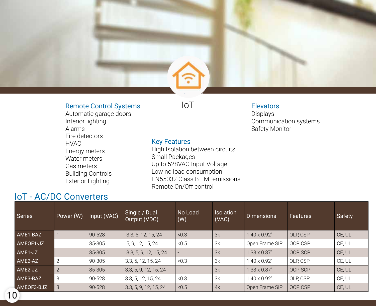#### Remote Control Systems  $IOT$

Automatic garage doors

#### **Elevators**

Displays Communication systems Safety Monitor

Interior lighting Alarms Fire detectors HVAC Energy meters Water meters Gas meters Building Controls Exterior Lighting

#### Key Features

High Isolation between circuits Small Packages Up to 528VAC Input Voltage Low no load consumption EN55032 Class B EMI emissions Remote On/Off control

### IoT - AC/DC Converters

| <b>Series</b> | Power (W)      | Input (VAC) | Single / Dual<br>Output (VDC) | No Load<br>(W) | <b>Isolation</b><br>(VAC) | <b>Dimensions</b>   | <b>Features</b> | Safety |
|---------------|----------------|-------------|-------------------------------|----------------|---------------------------|---------------------|-----------------|--------|
| AME1-BAZ      |                | 90-528      | 3.3, 5, 12, 15, 24            | < 0.3          | 3k                        | $1.40 \times 0.92"$ | OLP, CSP        | CE, UL |
| AMEOF1-JZ     |                | 85-305      | 5, 9, 12, 15, 24              | < 0.5          | 3k                        | Open Frame SIP      | OCP, CSP        | CE, UL |
| AME1-JZ       |                | 85-305      | 3.3, 5, 9, 12, 15, 24         |                | 3k                        | $1.33 \times 0.87"$ | OCP, SCP        | CE, UL |
| AME2-AZ       | 2              | 90-305      | 3.3, 5, 12, 15, 24            | < 0.3          | 3k                        | $1.40 \times 0.92"$ | OLP, CSP        | CE, UL |
| AME2-JZ       | $\overline{2}$ | 85-305      | 3.3, 5, 9, 12, 15, 24         |                | 3k                        | $1.33 \times 0.87"$ | OCP, SCP        | CE, UL |
| AME3-BAZ      | 3              | 90-528      | 3.3, 5, 12, 15, 24            | < 0.3          | 3k                        | $1.40 \times 0.92"$ | OLP, CSP        | CE, UL |
| AMEOF3-BJZ    | 3              | 90-528      | 3.3, 5, 9, 12, 15, 24         | < 0.5          | 4k                        | Open Frame SIP      | OCP, CSP        | CE, UL |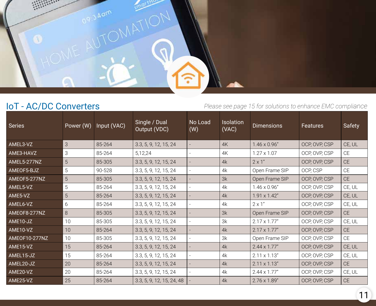

### IoT - AC/DC Converters

| <b>Series</b> | Power (W)      | Input (VAC) | Single / Dual<br>Output (VDC) | No Load<br>(W)           | <b>Isolation</b><br>(VAC) | <b>Dimensions</b>   | <b>Features</b> | Safety    |
|---------------|----------------|-------------|-------------------------------|--------------------------|---------------------------|---------------------|-----------------|-----------|
| AMEL3-VZ      | $\mathsf 3$    | 85-264      | 3.3, 5, 9, 12, 15, 24         |                          | 4K                        | $1.46 \times 0.96"$ | OCP, OVP, CSP   | CE, UL    |
| AME3-HAVZ     | 3              | 85-264      | 5,12,24                       |                          | 4K                        | $1.27 \times 1.07$  | OCP, OVP, CSP   | <b>CE</b> |
| AMEL5-277NZ   | 5              | 85-305      | 3.3, 5, 9, 12, 15, 24         |                          | 4k                        | $2 \times 1"$       | OCP, OVP, CSP   | <b>CE</b> |
| AMEOF5-BJZ    | 5              | 90-528      | 3.3, 5, 9, 12, 15, 24         |                          | 4k                        | Open Frame SIP      | OCP, CSP        | <b>CE</b> |
| AMEOF5-277NZ  | $\overline{5}$ | 85-305      | 3.3, 5, 9, 12, 15, 24         |                          | 3k                        | Open Frame SIP      | OCP, OVP, CSP   | <b>CE</b> |
| AMEL5-VZ      | 5              | 85-264      | 3.3, 5, 9, 12, 15, 24         |                          | 4k                        | $1.46 \times 0.96"$ | OCP, OVP, CSP   | CE, UL    |
| AME5-VZ       | 5              | 85-264      | 3.3, 5, 9, 12, 15, 24         |                          | 4k                        | $1.91 \times 1.42"$ | OCP, OVP, CSP   | CE, UL    |
| AMEL6-VZ      | 6              | 85-264      | 3.3, 5, 9, 12, 15, 24         |                          | 4k                        | $2 \times 1"$       | OCP, OVP, CSP   | CE, UL    |
| AMEOF8-277NZ  | 8              | 85-305      | 3.3, 5, 9, 12, 15, 24         |                          | 3k                        | Open Frame SIP      | OCP, OVP, CSP   | <b>CE</b> |
| AME10-JZ      | 10             | 85-305      | 3.3, 5, 9, 12, 15, 24         |                          | 3k                        | $2.17 \times 1.77"$ | OCP, OVP, CSP   | CE, UL    |
| AME10-VZ      | 10             | 85-264      | 3.3, 5, 9, 12, 15, 24         |                          | 4k                        | $2.17 \times 1.77"$ | OCP, OVP, CSP   | <b>CE</b> |
| AMEOF10-277NZ | 10             | 85-305      | 3.3, 5, 9, 12, 15, 24         | $\overline{\phantom{a}}$ | 3k                        | Open Frame SIP      | OCP, OVP, CSP   | <b>CE</b> |
| AME15-VZ      | 15             | 85-264      | 3.3, 5, 9, 12, 15, 24         |                          | 4k                        | $2.44 \times 1.77"$ | OCP, OVP, CSP   | CE, UL    |
| AMEL15-JZ     | 15             | 85-264      | 3.3, 5, 9, 12, 15, 24         |                          | 4k                        | $2.11 \times 1.13"$ | OCP, OVP, CSP   | CE, UL    |
| AMEL20-JZ     | 20             | 85-264      | 3.3, 5, 9, 12, 15, 24         |                          | 4k                        | $2.11 \times 1.13"$ | OCP, OVP, CSP   | <b>CE</b> |
| AME20-VZ      | 20             | 85-264      | 3.3, 5, 9, 12, 15, 24         |                          | 4k                        | $2.44 \times 1.77"$ | OCP, OVP, CSP   | CE, UL    |
| AME25-VZ      | 25             | 85-264      | 3.3, 5, 9, 12, 15, 24, 48     |                          | 4k                        | $2.76 \times 1.89"$ | OCP, OVP, CSP   | <b>CE</b> |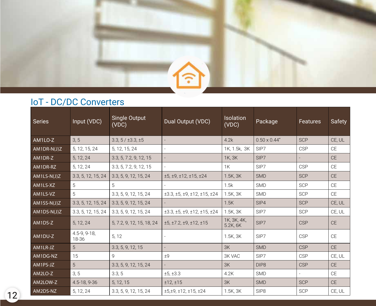

### IoT - DC/DC Converters

| Series        | Input (VDC)           | Single Output<br>(VDC)    | Dual Output (VDC)                                              | Isolation<br>(VDC)      | Package             | <b>Features</b> | Safety        |
|---------------|-----------------------|---------------------------|----------------------------------------------------------------|-------------------------|---------------------|-----------------|---------------|
| AM1LO-Z       | 3, 5                  | $3.3, 5 / \pm 3.3, \pm 5$ |                                                                | 4.2k                    | $0.50 \times 0.44"$ | <b>SCP</b>      | CE, UL        |
| AM1DR-N(J)Z   | 5, 12, 15, 24         | 5, 12, 15, 24             | $\overline{\phantom{a}}$                                       | 1K, 1.5k, 3K            | SIP7                | <b>CSP</b>      | $\mathsf{CE}$ |
| AM1DR-Z       | 5, 12, 24             | 3.3, 5, 7.2, 9, 12, 15    |                                                                | 1K, 3K                  | SIP7                |                 | <b>CE</b>     |
| AM1DR-RZ      | 5, 12, 24             | 3.3, 5, 7.2, 9, 12, 15    |                                                                | 1K                      | SIP7                | <b>CSP</b>      | CE            |
| AM1LS-N(J)Z   | 3.3, 5, 12, 15, 24    | 3.3, 5, 9, 12, 15, 24     | $\pm$ 5, $\pm$ 9, $\pm$ 12, $\pm$ 15, $\pm$ 24                 | $1.5K$ , $3K$           | <b>SMD</b>          | <b>SCP</b>      | <b>CE</b>     |
| AM1LS-XZ      | 5                     | 5                         |                                                                | 1.5k                    | <b>SMD</b>          | <b>SCP</b>      | $\mathsf{CE}$ |
| AM1LS-VZ      | 5                     | 3.3, 5, 9, 12, 15, 24     | $\pm 3.3$ , $\pm 5$ , $\pm 9$ , $\pm 12$ , $\pm 15$ , $\pm 24$ | 1.5K, 3K                | SMD                 | SCP             | $\mathsf{CE}$ |
| $AM1SS-N(J)Z$ | 3.3, 5, 12, 15, 24    | 3.3, 5, 9, 12, 15, 24     |                                                                | 1.5K                    | SIP4                | <b>SCP</b>      | CE, UL        |
| AM1DS-N(J)Z   | 3.3, 5, 12, 15, 24    | 3.3, 5, 9, 12, 15, 24     | $\pm 3.3$ , $\pm 5$ , $\pm 9$ , $\pm 12$ , $\pm 15$ , $\pm 24$ | 1.5K, 3K                | SIP7                | <b>SCP</b>      | CE, UL        |
| AM1DS-Z       | 5, 12, 24             | 5, 7.2, 9, 12, 15, 18, 24 | $\pm$ 5, $\pm$ 7.2, $\pm$ 9, $\pm$ 12, $\pm$ 15                | 1K, 3K, 4K,<br>5.2K, 6K | SIP7                | <b>CSP</b>      | <b>CE</b>     |
| AM1DU-Z       | 4.5-9, 9-18,<br>18-36 | 5, 12                     |                                                                | $1.5K$ , $3K$           | SIP7                | <b>CSP</b>      | <b>CE</b>     |
| AM1LR-JZ      | 5 <sup>5</sup>        | 3.3, 5, 9, 12, 15         |                                                                | 3K                      | <b>SMD</b>          | <b>CSP</b>      | <b>CE</b>     |
| AM1DG-NZ      | 15                    | 9                         | ±9                                                             | <b>3K VAC</b>           | SIP7                | <b>CSP</b>      | CE, UL        |
| AM1PS-JZ      | 5                     | 3.3, 5, 9, 12, 15, 24     |                                                                | 3K                      | DIP <sub>8</sub>    | <b>CSP</b>      | CE            |
| AM2LO-Z       | 3, 5                  | 3.3, 5                    | ±5, ±3.3                                                       | 4.2K                    | <b>SMD</b>          | $\equiv$        | <b>CE</b>     |
| AM2LOW-Z      | 4.5-18, 9-36          | 5, 12, 15                 | ±12,±15                                                        | 3K                      | <b>SMD</b>          | <b>SCP</b>      | <b>CE</b>     |
| AM2DS-NZ      | 5, 12, 24             | 3.3, 5, 9, 12, 15, 24     | $\pm$ 5, $\pm$ 9, $\pm$ 12, $\pm$ 15, $\pm$ 24                 | 1.5K, 3K                | SIP <sub>8</sub>    | <b>SCP</b>      | CE, UL        |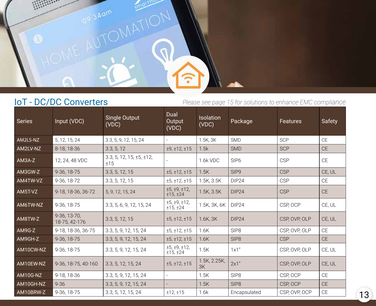

### IoT - DC/DC Converters

| Series    | Input (VDC)                   | <b>Single Output</b><br>(VDC)           | Dual<br>Output<br>(VDC)  | <b>Isolation</b><br>(VDC) | Package           | Features      | <b>Safety</b> |
|-----------|-------------------------------|-----------------------------------------|--------------------------|---------------------------|-------------------|---------------|---------------|
| AM2LS-NZ  | 5, 12, 15, 24                 | 3.3, 5, 9, 12, 15, 24                   |                          | 1.5K, 3K                  | <b>SMD</b>        | <b>SCP</b>    | <b>CE</b>     |
| AM2LV-NZ  | 8-18, 18-36                   | 3.3, 5, 12                              | ±9, ±12, ±15             | 1.5k                      | <b>SMD</b>        | <b>SCP</b>    | <b>CE</b>     |
| AM3A-Z    | 12, 24, 48 VDC                | $3.3, 5, 12, 15, \pm 5, \pm 12,$<br>±15 |                          | 1.6k VDC                  | SIP <sub>6</sub>  | <b>CSP</b>    | CE            |
| AM3GW-Z   | 9-36, 18-75                   | 3.3, 5, 12, 15                          | ±5, ±12, ±15             | 1.5K                      | SIP9              | <b>CSP</b>    | CE, UL        |
| AM4TW-VZ  | 9-36, 18-72                   | 3.3, 5, 12, 15                          | ±5, ±12, ±15             | 1.5K, 3.5K                | DIP <sub>24</sub> | <b>CSP</b>    | <b>CE</b>     |
| AM5T-VZ   | 9-18, 18-36, 36-72            | 5, 9, 12, 15, 24                        | ±5, ±9, ±12,<br>±15,±24  | 1.5K, 3.5K                | DIP <sub>24</sub> | <b>CSP</b>    | <b>CE</b>     |
| AM6TW-NZ  | 9-36, 18-75                   | 3.3, 5, 6, 9, 12, 15, 24                | ±5, ±9, ±12,<br>±15, ±24 | 1.5K, 3K, 6K              | DIP <sub>24</sub> | CSP, OCP      | CE, UL        |
| AM8TW-Z   | 9-36, 13-70,<br>18-75, 42-176 | 3.3, 5, 12, 15                          | ±5, ±12, ±15             | $1.6K$ , $3K$             | DIP <sub>24</sub> | CSP, OVP, OLP | CE, UL        |
| AM9G-Z    | 9-18, 18-36, 36-75            | 3.3, 5, 9, 12, 15, 24                   | ±5, ±12, ±15             | 1.6K                      | SIP <sub>8</sub>  | CSP, OVP, OLP | <b>CE</b>     |
| AM9GH-Z   | 9-36, 18-75                   | 3.3, 5, 9, 12, 15, 24                   | ±5, ±12, ±15             | 1.6K                      | SIP <sub>8</sub>  | <b>CSP</b>    | <b>CE</b>     |
| AM10CW-NZ | 9-36, 18-75                   | 3.3, 5, 9, 12, 15, 24                   | ±5, ±9, ±12,<br>±15, ±24 | 1.5K                      | 1x1"              | CSP, OVP, OLP | CE, UL        |
| AM10EW-NZ | 9-36, 18-75, 40-160           | 3.3, 5, 12, 15, 24                      | ±5, ±12, ±15             | 1.5K, 2.25K,<br>3K        | 2x1"              | CSP, OVP, OLP | CE, UL        |
| AM10G-NZ  | 9-18, 18-36                   | 3.3, 5, 9, 12, 15, 24                   | $\sim$                   | 1.5K                      | SIP8              | CSP, OCP      | <b>CE</b>     |
| AM10GH-NZ | $9 - 36$                      | 3.3, 5, 9, 12, 15, 24                   |                          | 1.5K                      | SIP <sub>8</sub>  | CSP, OCP      | <b>CE</b>     |
| AM10BRW-Z | 9-36, 18-75                   | 3.3, 5, 12, 15, 24                      | ±12,±15                  | 1.6k                      | Encapsulated      | CSP, OVP, OCP | CE            |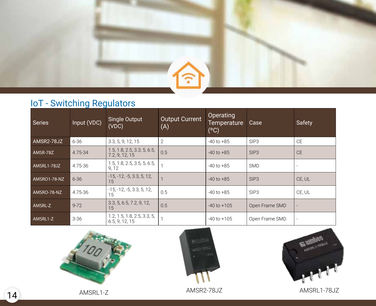

### IoT - Switching Regulators

| <b>Series</b> | Input (VDC) | Single Output<br>(VDC)                        | <b>Output Current</b><br>(A) | Operating<br><b>Temperature</b><br>(°C) | Case             | Safety    |
|---------------|-------------|-----------------------------------------------|------------------------------|-----------------------------------------|------------------|-----------|
| AMSR2-78JZ    | $6 - 36$    | 3.3, 5, 9, 12, 15                             | 2                            | $-40$ to $+85$                          | SIP <sub>3</sub> | <b>CE</b> |
| AMSR-78Z      | 4.75-34     | 1.5, 1.8, 2.5, 3.3, 5, 6.5,<br>7.2, 9, 12, 15 | 0.5                          | $-40$ to $+85$                          | SIP <sub>3</sub> | <b>CE</b> |
| AMSRL1-78JZ   | 4.75-36     | 1.5, 1.8, 2.5, 3.5, 5, 6.5,<br>9, 12          |                              | $-40$ to $+85$                          | <b>SMD</b>       |           |
| AMSRO1-78-NZ  | $6 - 36$    | $-15, -12, -5, 3.3, 5, 12,$<br>15             |                              | $-40$ to $+85$                          | SIP <sub>3</sub> | CE, UL    |
| AMSRO-78-NZ   | 4.75-36     | $-15, -12, -5, 3.3, 5, 12,$<br>15             | 0.5                          | $-40$ to $+85$                          | SIP <sub>3</sub> | CE, UL    |
| AMSRL-Z       | $9 - 72$    | 3.3, 5, 6.5, 7.2, 9, 12,<br>15                | 0.5                          | $-40$ to $+105$                         | Open Frame SMD   |           |
| AMSRL1-Z      | $3 - 36$    | 1.2, 1.5, 1.8, 2.5, 3.3, 5,<br>6.5, 9, 12, 15 |                              | $-40$ to $+105$                         | Open Frame SMD   |           |





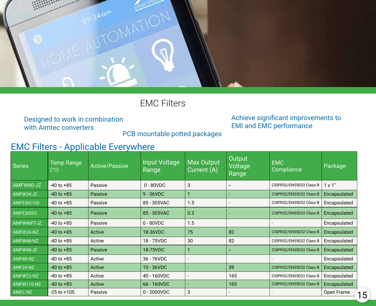

EMC Filters

Designed to work in combination with Aimtec converters

#### Achieve significant improvements to EMI and EMC performance

PCB mountable potted packages

### EMC Filters - Applicable Everywhere

| <b>Series</b>    | <b>Temp Range</b><br>(°C) | <b>Active/Passive</b> | Input Voltage<br>Range | <b>Max Output</b><br>Current (A) | Output<br>Voltage<br>Range | <b>EMC</b><br>Compliance | Package        |
|------------------|---------------------------|-----------------------|------------------------|----------------------------------|----------------------------|--------------------------|----------------|
| AMFW40-JZ        | $-40$ to $+85$            | Passive               | $0 - 80 VDC$           | 3                                |                            | CISPR32/EN55032 Class B  | $1 \times 1$ " |
| AMFW24-JZ        | $-40$ to $+85$            | Passive               | $9 - 36$ VDC           |                                  |                            | CISPR32/EN55032 Class B  | Encapsulated   |
| AMFE305150       | $-40$ to $+85$            | Passive               | 85 - 305VAC            | 1.5                              |                            | CISPR32/EN55032 Class B  | Encapsulated   |
| <b>AMFE30503</b> | $-40$ to $+85$            | Passive               | 85 - 305VAC            | 0.3                              |                            | CISPR32/EN55032 Class B  | Encapsulated   |
| AMFW40FT-JZ      | $-40$ to $+85$            | Passive               | $0 - 80 VDC$           | 1.5                              |                            |                          | Encapsulated   |
| AMFW24-NZ        | $-40$ to $+85$            | Active                | 18-36VDC               | 75                               | 82                         | CISPR32/EN55032 Class B  | Encapsulated   |
| AMFW48-NZ        | $-40$ to $+85$            | Active                | 18 - 75VDC             | 30                               | 82                         | CISPR32/EN55032 Class B  | Encapsulated   |
| AMFW48-JZ        | $-40$ to $+85$            | Passive               | 18-75VDC               |                                  | -                          | CISPR32/EN55032 Class B  | Encapsulated   |
| AMF48-NZ         | $-40$ to $+85$            | Active                | 36 - 76VDC             |                                  |                            |                          | Encapsulated   |
| AMF24-NZ         | $-40$ to $+85$            | Active                | 10 - 36VDC             |                                  | 39                         | CISPR32/EN55032 Class B  | Encapsulated   |
| AMFW72-NZ        | $-40$ to $+85$            | Active                | 40 - 160VDC            |                                  | 165                        | CISPR32/EN55032 Class B  | Encapsulated   |
| AMFW110-NZ       | $-40$ to $+85$            | Active                | 66 - 160VDC            |                                  | 165                        | CISPR32/EN55032 Class B  | Encapsulated   |
| AMFC-NZ          | $-25$ to $+105$           | Passive               | $0 - 2000VDC$          | 3                                |                            |                          | Open Frame     |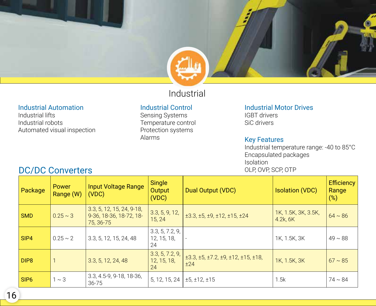### Industrial

#### Industrial Automation

Industrial lifts Industrial robots Automated visual inspection

#### Industrial Control

Sensing Systems Temperature control Protection systems Alarms

Industrial Motor Drives

IGBT drivers SiC drivers

#### Key Features

Industrial temperature range: -40 to 85°C Encapsulated packages Isolation OLP, OVP, SCP, OTP

| Package          | <b>Power</b><br>Range (W) | Input Voltage Range<br>(VDC)                                        | <b>Single</b><br>Output<br>(VDC)     | Dual Output (VDC)                                                            | <b>Isolation (VDC)</b>          | <b>Efficiency</b><br>Range<br>$(\%)$ |
|------------------|---------------------------|---------------------------------------------------------------------|--------------------------------------|------------------------------------------------------------------------------|---------------------------------|--------------------------------------|
| SMD              | $0.25 \sim 3$             | $3.3, 5, 12, 15, 24, 9-18,$<br>9-36, 18-36, 18-72, 18-<br>75, 36-75 | 3.3, 5, 9, 12,<br>15, 24             | $\pm 3.3$ , $\pm 5$ , $\pm 9$ , $\pm 12$ , $\pm 15$ , $\pm 24$               | 1K, 1.5K, 3K, 3.5K,<br>4.2k, 6K | $64 \sim 86$                         |
| $ $ SIP4         | $0.25 \sim 2$             | 3.3, 5, 12, 15, 24, 48                                              | 3.3, 5, 7.2, 9,<br>12, 15, 18,<br>24 |                                                                              | 1K, 1.5K, 3K                    | $49 \sim 88$                         |
| DIP <sub>8</sub> |                           | 3.3, 5, 12, 24, 48                                                  | 3.3, 5, 7.2, 9,<br>12, 15, 18,<br>24 | $\pm$ 3.3, $\pm$ 5, $\pm$ 7.2, $\pm$ 9, $\pm$ 12, $\pm$ 15, $\pm$ 18,<br>±24 | 1K, 1.5K, 3K                    | $67 \sim 85$                         |
| $ $ SIP6         | $1 \sim 3$                | 3.3, 4.5-9, 9-18, 18-36,<br>$36 - 75$                               | 5, 12, 15, 24                        | ±5, ±12, ±15                                                                 | 1.5k                            | $74 \sim 84$                         |

### DC/DC Converters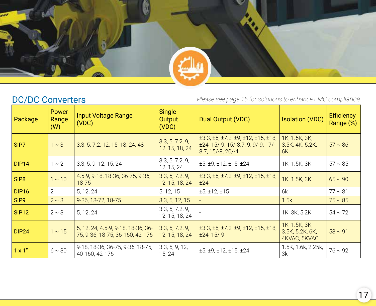### DC/DC Converters

| Package           | Power<br>Range<br>(W) | <b>Input Voltage Range</b><br>(VDC)                                   | <b>Single</b><br>Output<br>(VDC)  | Dual Output (VDC)                                                                                                                     | <b>Isolation (VDC)</b>                           | <b>Efficiency</b><br>Range (%) |
|-------------------|-----------------------|-----------------------------------------------------------------------|-----------------------------------|---------------------------------------------------------------------------------------------------------------------------------------|--------------------------------------------------|--------------------------------|
| SIP7              | $1 \sim 3$            | 3.3, 5, 7.2, 12, 15, 18, 24, 48                                       | 3.3, 5, 7.2, 9,<br>12, 15, 18, 24 | $\pm$ 3.3, $\pm$ 5, $\pm$ 7.2, $\pm$ 9, $\pm$ 12, $\pm$ 15, $\pm$ 18,<br>$\pm$ 24, 15/-9, 15/-8.7, 9, 9/-9, 17/-<br>8.7, 15/-8, 20/-4 | 1K, 1.5K, 3K,<br>3.5K, 4K, 5.2K,<br>6K           | $57 \sim 86$                   |
| <b>DIP14</b>      | $1 \sim 2$            | 3.3, 5, 9, 12, 15, 24                                                 | 3.3, 5, 7.2, 9,<br>12, 15, 24     | ±5, ±9, ±12, ±15, ±24                                                                                                                 | 1K, 1.5K, 3K                                     | $57 \sim 85$                   |
| SIP <sub>8</sub>  | $1 \sim 10$           | 4.5-9, 9-18, 18-36, 36-75, 9-36,<br>18-75                             | 3.3, 5, 7.2, 9,<br>12, 15, 18, 24 | $\pm$ 3.3, $\pm$ 5, $\pm$ 7.2, $\pm$ 9, $\pm$ 12, $\pm$ 15, $\pm$ 18,<br>±24                                                          | 1K, 1.5K, 3K                                     | $65 \sim 90$                   |
| <b>DIP16</b>      | $\overline{2}$        | 5, 12, 24                                                             | 5, 12, 15                         | ±5, ±12, ±15                                                                                                                          | 6k                                               | $77 \sim 81$                   |
| SIP9              | $2 \sim 3$            | 9-36, 18-72, 18-75                                                    | 3.3, 5, 12, 15                    |                                                                                                                                       | 1.5k                                             | $75 \sim 85$                   |
| SIP <sub>12</sub> | $2 \sim 3$            | 5, 12, 24                                                             | 3.3, 5, 7.2, 9,<br>12, 15, 18, 24 |                                                                                                                                       | 1K, 3K, 5.2K                                     | $54 \sim 72$                   |
| <b>DIP24</b>      | $1 \sim 15$           | 5, 12, 24, 4.5-9, 9-18, 18-36, 36-<br>75, 9-36, 18-75, 36-160, 42-176 | 3.3, 5, 7.2, 9,<br>12, 15, 18, 24 | $\pm$ 3.3, $\pm$ 5, $\pm$ 7.2, $\pm$ 9, $\pm$ 12, $\pm$ 15, $\pm$ 18,<br>$±24,15/-9$                                                  | 1K, 1.5K, 3K,<br>3.5K, 5.2K, 6K,<br>4KVAC, 5KVAC | $58 \sim 91$                   |
| $1 \times 1$ "    | $6 \sim 30$           | 9-18, 18-36, 36-75, 9-36, 18-75,<br>40-160, 42-176                    | 3.3, 5, 9, 12,<br>15, 24          | ±5, ±9, ±12, ±15, ±24                                                                                                                 | 1.5K, 1.6k, 2.25k,<br>3k                         | $76 \sim 92$                   |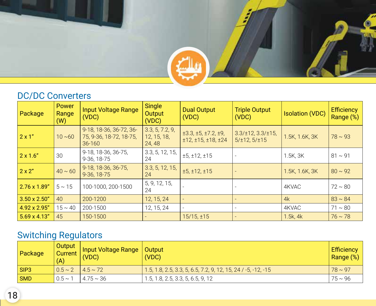### DC/DC Converters

| Package              | Power<br>Range<br>(W) | <b>Input Voltage Range</b><br>(VDC)                              | <b>Single</b><br>Output<br>(VDC)         | <b>Dual Output</b><br>(VDC)                             | <b>Triple Output</b><br>(VDC)                            | <b>Isolation (VDC)</b> | <b>Efficiency</b><br>Range (%) |
|----------------------|-----------------------|------------------------------------------------------------------|------------------------------------------|---------------------------------------------------------|----------------------------------------------------------|------------------------|--------------------------------|
| $2 \times 1$ "       | $10 - 60$             | 9-18, 18-36, 36-72, 36-<br>75, 9-36, 18-72, 18-75,<br>$36 - 160$ | 3.3, 5, 7.2, 9,<br>12, 15, 18,<br>24, 48 | $\pm 3.3, \pm 5, \pm 7.2, \pm 9,$<br>±12, ±15, ±18, ±24 | $3.3/\pm 12$ , $3.3/\pm 15$ ,<br>$5/\pm 12$ , $5/\pm 15$ | 1.5K, 1.6K, 3K         | $78 \sim 93$                   |
| $2 \times 1.6"$      | 30                    | 9-18, 18-36, 36-75,<br>9-36, 18-75                               | 3.3, 5, 12, 15,<br>24                    | ±5, ±12, ±15                                            |                                                          | 1.5K, 3K               | $81 \sim 91$                   |
| $2 \times 2$ "       | $40 \sim 60$          | 9-18, 18-36, 36-75,<br>9-36, 18-75                               | 3.3, 5, 12, 15,<br>24                    | ±5, ±12, ±15                                            |                                                          | 1.5K, 1.6K, 3K         | $80 \sim 92$                   |
| 2.76 x 1.89"         | $5 \sim 15$           | 100-1000, 200-1500                                               | 5, 9, 12, 15,<br>24                      |                                                         |                                                          | 4KVAC                  | $72 \sim 80$                   |
| $3.50 \times 2.50$ " | 40                    | 200-1200                                                         | 12, 15, 24                               |                                                         |                                                          | 4k                     | $83 \sim 84$                   |
| 4.92 x 2.95"         | $15 \sim 40$          | 200-1500                                                         | 12, 15, 24                               |                                                         |                                                          | 4KVAC                  | $71 \sim 80$                   |
| $5.69 \times 4.13"$  | 45                    | 150-1500                                                         |                                          | $15/15, \pm 15$                                         |                                                          | $1.5k$ , 4 $k$         | $76 \sim 78$                   |

### Switching Regulators

| Package     | Output<br>Current<br>(A)      | Input Voltage Range<br>(VDC) | <b>Output</b><br>(VDC)                                        | <b>Efficiency</b><br>Range (%) |
|-------------|-------------------------------|------------------------------|---------------------------------------------------------------|--------------------------------|
| $ $ SIP3    | $10.5 \sim 2$   4.5 $\sim$ 72 |                              | 1.5, 1.8, 2.5, 3.3, 5, 6.5, 7.2, 9, 12, 15, 24 / -5, -12, -15 | $78 \sim 97$                   |
| $\vert$ SMD | $0.5 \sim 1$                  | l 4.75 ~ 36                  | 1.5, 1.8, 2.5, 3.3, 5, 6.5, 9, 12                             | $175 - 96$                     |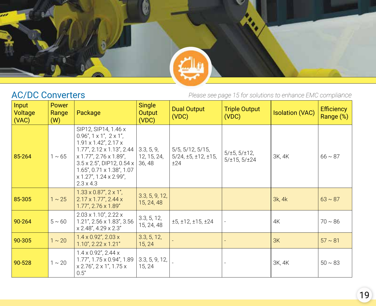

### AC/DC Converters

| Input<br>Voltage<br>(VAC) | <b>Power</b><br>Range<br>(W) | Package                                                                                                                                                                                                                                                                                                           | <b>Single</b><br>Output<br>(VDC)    | <b>Dual Output</b><br>(VDC)                                                  | <b>Triple Output</b><br>(VDC)                       | <b>Isolation (VAC)</b> | <b>Efficiency</b><br>Range (%) |
|---------------------------|------------------------------|-------------------------------------------------------------------------------------------------------------------------------------------------------------------------------------------------------------------------------------------------------------------------------------------------------------------|-------------------------------------|------------------------------------------------------------------------------|-----------------------------------------------------|------------------------|--------------------------------|
| 85-264                    | $1 \sim 65$                  | SIP12, SIP14, 1.46 x<br>$0.96$ ", $1 \times 1$ ", $2 \times 1$ ",<br>$1.91 \times 1.42$ ", $2.17 \times$<br>$1.77$ ", $2.12 \times 1.13$ ", $2.44$<br>$x$ 1.77", 2.76 $x$ 1.89",<br>$3.5 \times 2.5$ ", DIP12, 0.54 x<br>$1.65$ ", $0.71 \times 1.38$ ", $1.07$<br>$x$ 1.27", 1.24 $x$ 2.99",<br>$2.3 \times 4.3$ | 3.3, 5, 9,<br>12, 15, 24,<br>36, 48 | $5/5$ , $5/12$ , $5/15$ ,<br>$5/24$ , $\pm 5$ , $\pm 12$ , $\pm 15$ ,<br>±24 | $5/\pm 5$ , $5/\pm 12$ ,<br>$5/\pm 15$ , $5/\pm 24$ | 3K, 4K                 | $66 \sim 87$                   |
| 85-305                    | $1 \sim 25$                  | $1.33 \times 0.87$ ", $2 \times 1$ ",<br>$2.17 \times 1.77$ ", 2.44 x<br>1.77", 2.76 x 1.89"                                                                                                                                                                                                                      | 3.3, 5, 9, 12,<br>15, 24, 48        |                                                                              |                                                     | 3k, 4k                 | $63 \sim 87$                   |
| 90-264                    | $5 \sim 60$                  | $2.03 \times 1.10$ ", $2.22 \times$<br>1.21", 2.56 x 1.83", 3.56<br>$x 2.48$ ", 4.29 $x 2.3$ "                                                                                                                                                                                                                    | 3.3, 5, 12,<br>15, 24, 48           | ±5, ±12, ±15, ±24                                                            |                                                     | 4K                     | $70 \sim 86$                   |
| 90-305                    | $1 \sim 20$                  | $1.4 \times 0.92$ ", 2.03 x<br>$1.10$ ", $2.22 \times 1.21$ "                                                                                                                                                                                                                                                     | 3.3, 5, 12,<br>15, 24               |                                                                              |                                                     | 3K                     | $57 \sim 81$                   |
| 90-528                    | $1 \sim 20$                  | $1.4 \times 0.92$ ", 2.44 x<br>1.77", 1.75 x 0.94", 1.89<br>$x 2.76$ ", $2 \times 1$ ", $1.75 \times$<br>0.5"                                                                                                                                                                                                     | 3.3, 5, 9, 12,<br>15, 24            |                                                                              |                                                     | 3K, 4K                 | $50 \sim 83$                   |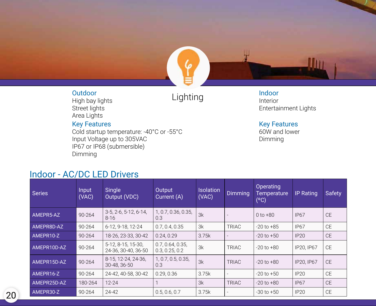

## Outdoor<br>High havilights **Dubble County**

High bay lights Street lights Area Lights

#### Key Features

Cold startup temperature: -40°C or -55°C Input Voltage up to 305VAC IP67 or IP68 (submersible) Dimming

### Indoor - AC/DC LED Drivers

Indoor Interior Entertainment Lights

#### Key Features

60W and lower Dimming

| <b>Series</b> | <b>Input</b><br>(VAC) | Single<br>Output (VDC)                        | Output<br>Current (A)              | <b>Isolation</b><br>(VAC) | <b>Dimming</b>           | Operating<br><b>Temperature</b><br>(°C) | <b>IP Rating</b> | <b>Safety</b> |
|---------------|-----------------------|-----------------------------------------------|------------------------------------|---------------------------|--------------------------|-----------------------------------------|------------------|---------------|
| AMEPR5-AZ     | 90-264                | $3-5$ , $2-6$ , $5-12$ , $6-14$ ,<br>$8 - 16$ | 1, 0.7, 0.36, 0.35,<br>0.3         | 3k                        |                          | $0$ to $+80$                            | <b>IP67</b>      | <b>CE</b>     |
| AMEPR8D-AZ    | 90-264                | 6-12, 9-18, 12-24                             | 0.7, 0.4, 0.35                     | 3k                        | <b>TRIAC</b>             | $-20$ to $+85$                          | <b>IP67</b>      | <b>CE</b>     |
| AMEPR10-Z     | 90-264                | 18-26, 23-33, 30-42                           | 0.24.0.29                          | 3.75k                     |                          | $-20$ to $+50$                          | IP20             | <b>CE</b>     |
| AMEPR10D-AZ   | 90-264                | 5-12, 8-15, 15-30,<br>24-36, 30-40, 36-50     | 0.7, 0.64, 0.35,<br>0.3, 0.25, 0.2 | 3k                        | <b>TRIAC</b>             | $-20$ to $+80$                          | IP20, IP67       | <b>CE</b>     |
| AMEPR15D-AZ   | 90-264                | 8-15, 12-24, 24-36,<br>30-48, 36-50           | 1, 0.7, 0.5, 0.35,<br>0.3          | 3k                        | TRIAC                    | $-20$ to $+80$                          | IP20, IP67       | <b>CE</b>     |
| AMEPR16-Z     | 90-264                | 24-42, 40-58, 30-42                           | 0.29, 0.36                         | 3.75k                     | $\overline{\phantom{0}}$ | $-20$ to $+50$                          | <b>IP20</b>      | <b>CE</b>     |
| AMEPR25D-AZ   | 180-264               | $12 - 24$                                     | 1                                  | 3k                        | <b>TRIAC</b>             | $-20$ to $+80$                          | IP <sub>67</sub> | <b>CE</b>     |
| AMEPR30-Z     | $90 - 264$            | $24 - 42$                                     | 0.5, 0.6, 0.7                      | 3.75k                     | $\overline{\phantom{0}}$ | $-30$ to $+50$                          | <b>IP20</b>      | <b>CE</b>     |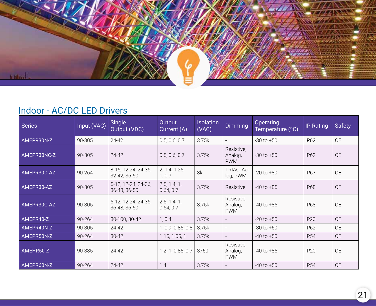

### Indoor - AC/DC LED Drivers

| <b>Series</b> | Input (VAC) | <b>Single</b><br>Output (VDC)       | Output<br>Current (A)     | <b>Isolation</b><br>(VAC) | Dimming                             | Operating<br>Temperature (°C) | <b>IP Rating</b> | <b>Safety</b> |
|---------------|-------------|-------------------------------------|---------------------------|---------------------------|-------------------------------------|-------------------------------|------------------|---------------|
| AMEPR30N-Z    | 90-305      | $24 - 42$                           | 0.5, 0.6, 0.7             | 3.75k                     |                                     | $-30$ to $+50$                | <b>IP62</b>      | <b>CE</b>     |
| AMEPR30NC-Z   | 90-305      | $24 - 42$                           | 0.5, 0.6, 0.7             | 3.75k                     | Resistive.<br>Analog,<br><b>PWM</b> | $-30$ to $+50$                | <b>IP62</b>      | <b>CE</b>     |
| AMEPR30D-AZ   | 90-264      | 8-15, 12-24, 24-36,<br>32-42, 36-50 | 2, 1.4, 1.25,<br>1, 0.7   | 3k                        | TRIAC, Aa-<br>log, PWM              | $-20$ to $+80$                | <b>IP67</b>      | $\mathsf{CE}$ |
| AMEPR30-AZ    | 90-305      | 5-12, 12-24, 24-36,<br>36-48, 36-50 | 2.5, 1.4, 1,<br>0.64, 0.7 | 3.75k                     | Resistive                           | $-40$ to $+85$                | <b>IP68</b>      | <b>CE</b>     |
| AMEPR30C-AZ   | 90-305      | 5-12, 12-24, 24-36,<br>36-48, 36-50 | 2.5, 1.4, 1,<br>0.64, 0.7 | 3.75k                     | Resistive,<br>Analog,<br><b>PWM</b> | $-40$ to $+85$                | <b>IP68</b>      | <b>CE</b>     |
| AMEPR40-Z     | 90-264      | 80-100, 30-42                       | 1, 0.4                    | 3.75k                     |                                     | $-20$ to $+50$                | IP20             | <b>CE</b>     |
| AMEPR40N-Z    | 90-305      | 24-42                               | 1, 0.9, 0.85, 0.8         | 3.75k                     | $\overline{a}$                      | $-30$ to $+50$                | <b>IP62</b>      | <b>CE</b>     |
| AMEPR50N-Z    | 90-264      | $30 - 42$                           | 1.15, 1.05, 1             | 3.75k                     |                                     | $-40$ to $+50$                | <b>IP54</b>      | <b>CE</b>     |
| AMEHR50-Z     | 90-385      | 24-42                               | 1.2, 1, 0.85, 0.7         | 3750                      | Resistive,<br>Analog,<br><b>PWM</b> | $-40$ to $+85$                | <b>IP20</b>      | <b>CE</b>     |
| AMEPR60N-Z    | 90-264      | $24 - 42$                           | 1.4                       | 3.75k                     |                                     | $-40$ to $+50$                | <b>IP54</b>      | <b>CE</b>     |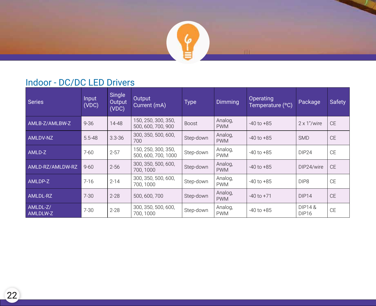

### Indoor - DC/DC LED Drivers

| Series               | Input<br>(VDC) | Single<br>Output<br>(VDC) | <b>Output</b><br>Current (mA)              | <b>Type</b>  | <b>Dimming</b>        | Operating<br>Temperature (°C) | Package                                | <b>Safety</b> |
|----------------------|----------------|---------------------------|--------------------------------------------|--------------|-----------------------|-------------------------------|----------------------------------------|---------------|
| AMLB-Z/AMLBW-Z       | $9 - 36$       | 14-48                     | 150, 250, 300, 350,<br>500, 600, 700, 900  | <b>Boost</b> | Analog,<br><b>PWM</b> | $-40$ to $+85$                | $2 \times 1$ "/wire                    | <b>CE</b>     |
| AMLDV-NZ             | $5.5 - 48$     | $3.3 - 36$                | 300, 350, 500, 600,<br>700                 | Step-down    | Analog,<br><b>PWM</b> | $-40$ to $+85$                | <b>SMD</b>                             | <b>CE</b>     |
| AMLD-Z               | $7 - 60$       | $2 - 57$                  | 150, 250, 300, 350,<br>500, 600, 700, 1000 | Step-down    | Analog,<br><b>PWM</b> | $-40$ to $+85$                | DIP <sub>24</sub>                      | <b>CE</b>     |
| AMLD-RZ/AMLDW-RZ     | $9 - 60$       | $2 - 56$                  | 300, 350, 500, 600,<br>700, 1000           | Step-down    | Analog,<br><b>PWM</b> | $-40$ to $+85$                | DIP24/wire                             | <b>CE</b>     |
| AMLDP-Z              | $7 - 16$       | $2 - 14$                  | 300, 350, 500, 600,<br>700, 1000           | Step-down    | Analog,<br><b>PWM</b> | $-40$ to $+85$                | DIP <sub>8</sub>                       | <b>CE</b>     |
| AMLDL-RZ             | $7 - 30$       | $2 - 28$                  | 500, 600, 700                              | Step-down    | Analog,<br><b>PWM</b> | $-40$ to $+71$                | DIP14                                  | <b>CE</b>     |
| AMLDL-Z/<br>AMLDLW-Z | $7 - 30$       | $2 - 28$                  | 300, 350, 500, 600,<br>700, 1000           | Step-down    | Analog,<br><b>PWM</b> | $-40$ to $+85$                | <b>DIP14&amp;</b><br>DIP <sub>16</sub> | <b>CE</b>     |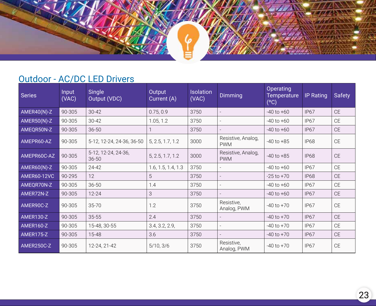### Outdoor - AC/DC LED Drivers

| <b>Series</b>      | Input<br>(VAC) | Single<br>Output (VDC)           | Output<br>Current (A) | <b>Isolation</b><br>(VAC) | <b>Dimming</b>                   | Operating<br>Temperature<br>(°C) | <b>IP</b> Rating | <b>Safety</b> |
|--------------------|----------------|----------------------------------|-----------------------|---------------------------|----------------------------------|----------------------------------|------------------|---------------|
| AMER40(N)-Z        | 90-305         | $30 - 42$                        | 0.75, 0.9             | 3750                      |                                  | $-40$ to $+60$                   | <b>IP67</b>      | <b>CE</b>     |
| AMER50(N)-Z        | 90-305         | $30 - 42$                        | 1.05, 1.2             | 3750                      |                                  | $-40$ to $+60$                   | IP <sub>67</sub> | <b>CE</b>     |
| AMEQR50N-Z         | 90-305         | $36 - 50$                        |                       | 3750                      |                                  | $-40$ to $+60$                   | <b>IP67</b>      | <b>CE</b>     |
| AMEPR60-AZ         | 90-305         | 5-12, 12-24, 24-36, 36-50        | 5, 2.5, 1.7, 1.2      | 3000                      | Resistive, Analog,<br><b>PWM</b> | $-40$ to $+85$                   | <b>IP68</b>      | <b>CE</b>     |
| AMEPR60C-AZ        | 90-305         | 5-12, 12-24, 24-36,<br>$36 - 50$ | 5, 2.5, 1.7, 1.2      | 3000                      | Resistive, Analog,<br><b>PWM</b> | $-40$ to $+85$                   | <b>IP68</b>      | <b>CE</b>     |
| AMER60(N)-Z        | 90-305         | 24-42                            | 1.6, 1.5, 1.4, 1.3    | 3750                      |                                  | $-40$ to $+60$                   | <b>IP67</b>      | <b>CE</b>     |
| <b>AMER60-12VC</b> | 90-295         | 12                               | 5                     | 3750                      |                                  | $-25$ to $+70$                   | <b>IP68</b>      | <b>CE</b>     |
| AMEQR70N-Z         | 90-305         | $36 - 50$                        | 1.4                   | 3750                      |                                  | $-40$ to $+60$                   | <b>IP67</b>      | <b>CE</b>     |
| AMER72N-Z          | 90-305         | $12 - 24$                        | 3                     | 3750                      |                                  | $-40$ to $+60$                   | <b>IP67</b>      | <b>CE</b>     |
| AMER90C-Z          | 90-305         | 35-70                            | 1.2                   | 3750                      | Resistive,<br>Analog, PWM        | $-40$ to $+70$                   | IP <sub>67</sub> | <b>CE</b>     |
| AMER130-Z          | 90-305         | $35 - 55$                        | 2.4                   | 3750                      |                                  | $-40$ to $+70$                   | <b>IP67</b>      | <b>CE</b>     |
| AMER160-Z          | 90-305         | 15-48, 30-55                     | 3.4, 3.2, 2.9,        | 3750                      |                                  | $-40$ to $+70$                   | IP <sub>67</sub> | <b>CE</b>     |
| AMER175-Z          | 90-305         | 15-48                            | 3.6                   | 3750                      |                                  | $-40$ to $+70$                   | <b>IP67</b>      | <b>CE</b>     |
| AMER250C-Z         | 90-305         | 12-24, 21-42                     | 5/10, 3/6             | 3750                      | Resistive,<br>Analog, PWM        | $-40$ to $+70$                   | IP <sub>67</sub> | <b>CE</b>     |